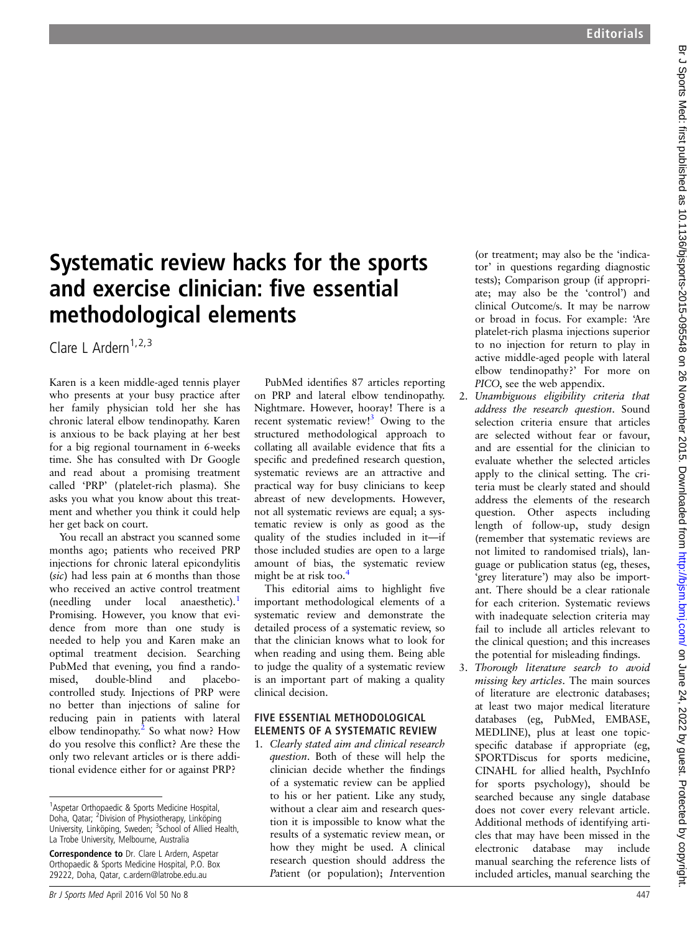# Systematic review hacks for the sports and exercise clinician: five essential methodological elements

Clare L Ardern<sup>1,2,3</sup>

Karen is a keen middle-aged tennis player who presents at your busy practice after her family physician told her she has chronic lateral elbow tendinopathy. Karen is anxious to be back playing at her best for a big regional tournament in 6-weeks time. She has consulted with Dr Google and read about a promising treatment called 'PRP' (platelet-rich plasma). She asks you what you know about this treatment and whether you think it could help her get back on court.

You recall an abstract you scanned some months ago; patients who received PRP injections for chronic lateral epicondylitis (sic) had less pain at 6 months than those who received an active control treatment  $(needling$  under local anaesthetic).<sup>1</sup> Promising. However, you know that evidence from more than one study is needed to help you and Karen make an optimal treatment decision. Searching PubMed that evening, you find a randomised, double-blind and placebocontrolled study. Injections of PRP were no better than injections of saline for reducing pain in patients with lateral elbow tendinopathy.<sup>2</sup> So what now? How do you resolve this conflict? Are these the only two relevant articles or is there additional evidence either for or against PRP?

PubMed identifies 87 articles reporting on PRP and lateral elbow tendinopathy. Nightmare. However, hooray! There is a recent systematic review!<sup>3</sup> Owing to the structured methodological approach to collating all available evidence that fits a specific and predefined research question, systematic reviews are an attractive and practical way for busy clinicians to keep abreast of new developments. However, not all systematic reviews are equal; a systematic review is only as good as the quality of the studies included in it—if those included studies are open to a large amount of bias, the systematic review might be at risk too.<sup>4</sup>

This editorial aims to highlight five important methodological elements of a systematic review and demonstrate the detailed process of a systematic review, so that the clinician knows what to look for when reading and using them. Being able to judge the quality of a systematic review is an important part of making a quality clinical decision.

## FIVE ESSENTIAL METHODOLOGICAL ELEMENTS OF A SYSTEMATIC REVIEW

1. Clearly stated aim and clinical research question. Both of these will help the clinician decide whether the findings of a systematic review can be applied to his or her patient. Like any study, without a clear aim and research question it is impossible to know what the results of a systematic review mean, or how they might be used. A clinical research question should address the Patient (or population); Intervention

(or treatment; may also be the 'indicator' in questions regarding diagnostic tests); Comparison group (if appropriate; may also be the 'control') and clinical Outcome/s. It may be narrow or broad in focus. For example: 'Are platelet-rich plasma injections superior to no injection for return to play in active middle-aged people with lateral elbow tendinopathy?' For more on PICO, see the web appendix.

- 2. Unambiguous eligibility criteria that address the research question. Sound selection criteria ensure that articles are selected without fear or favour, and are essential for the clinician to evaluate whether the selected articles apply to the clinical setting. The criteria must be clearly stated and should address the elements of the research question. Other aspects including length of follow-up, study design (remember that systematic reviews are not limited to randomised trials), language or publication status (eg, theses, 'grey literature') may also be important. There should be a clear rationale for each criterion. Systematic reviews with inadequate selection criteria may fail to include all articles relevant to the clinical question; and this increases the potential for misleading findings.
- Thorough literature search to avoid missing key articles. The main sources of literature are electronic databases; at least two major medical literature databases (eg, PubMed, EMBASE, MEDLINE), plus at least one topicspecific database if appropriate (eg, SPORTDiscus for sports medicine, CINAHL for allied health, PsychInfo for sports psychology), should be searched because any single database does not cover every relevant article. Additional methods of identifying articles that may have been missed in the electronic database may include manual searching the reference lists of included articles, manual searching the

<sup>&</sup>lt;sup>1</sup> Aspetar Orthopaedic & Sports Medicine Hospital, Doha, Qatar; <sup>2</sup>Division of Physiotherapy, Linköping University, Linköping, Sweden; <sup>3</sup>School of Allied Health, La Trobe University, Melbourne, Australia

Correspondence to Dr. Clare L Ardern, Aspetar Orthopaedic & Sports Medicine Hospital, P.O. Box 29222, Doha, Qatar, c.ardern@latrobe.edu.au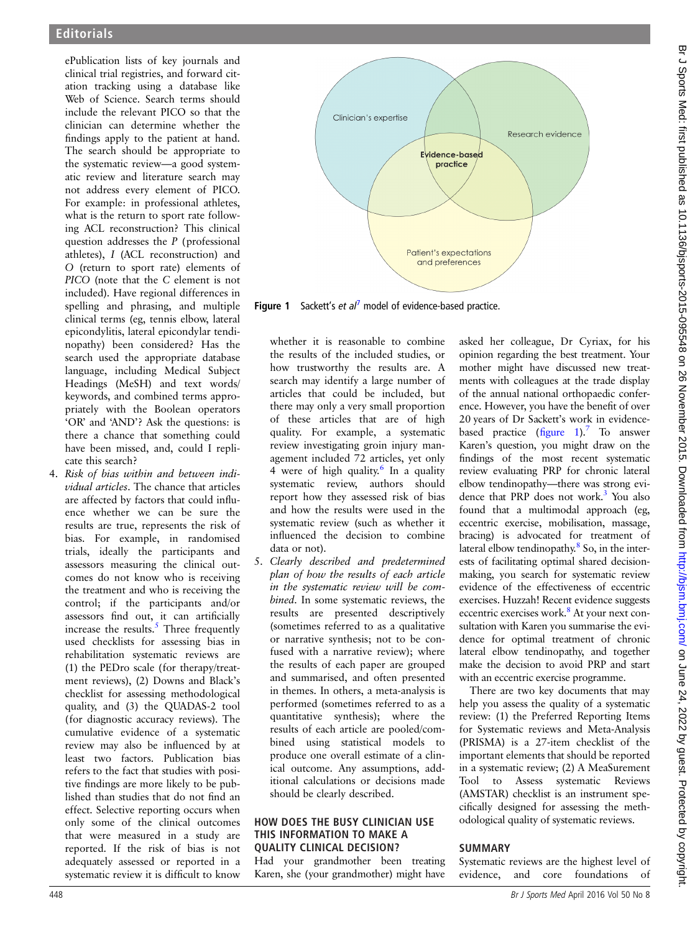ePublication lists of key journals and clinical trial registries, and forward citation tracking using a database like Web of Science. Search terms should include the relevant PICO so that the clinician can determine whether the findings apply to the patient at hand. The search should be appropriate to the systematic review—a good systematic review and literature search may not address every element of PICO. For example: in professional athletes, what is the return to sport rate following ACL reconstruction? This clinical question addresses the P (professional athletes), I (ACL reconstruction) and O (return to sport rate) elements of PICO (note that the C element is not included). Have regional differences in spelling and phrasing, and multiple clinical terms (eg, tennis elbow, lateral epicondylitis, lateral epicondylar tendinopathy) been considered? Has the search used the appropriate database language, including Medical Subject Headings (MeSH) and text words/ keywords, and combined terms appropriately with the Boolean operators 'OR' and 'AND'? Ask the questions: is there a chance that something could have been missed, and, could I replicate this search?

4. Risk of bias within and between individual articles. The chance that articles are affected by factors that could influence whether we can be sure the results are true, represents the risk of bias. For example, in randomised trials, ideally the participants and assessors measuring the clinical outcomes do not know who is receiving the treatment and who is receiving the control; if the participants and/or assessors find out, it can artificially increase the results. $\frac{5}{5}$  Three frequently used checklists for assessing bias in rehabilitation systematic reviews are (1) the PEDro scale (for therapy/treatment reviews), (2) Downs and Black's checklist for assessing methodological quality, and (3) the QUADAS-2 tool (for diagnostic accuracy reviews). The cumulative evidence of a systematic review may also be influenced by at least two factors. Publication bias refers to the fact that studies with positive findings are more likely to be published than studies that do not find an effect. Selective reporting occurs when only some of the clinical outcomes that were measured in a study are reported. If the risk of bias is not adequately assessed or reported in a systematic review it is difficult to know



**Figure 1** Sackett's et  $al^7$  model of evidence-based practice.

whether it is reasonable to combine the results of the included studies, or how trustworthy the results are. A search may identify a large number of articles that could be included, but there may only a very small proportion of these articles that are of high quality. For example, a systematic review investigating groin injury management included 72 articles, yet only 4 were of high quality.<sup>6</sup> In a quality systematic review, authors should report how they assessed risk of bias and how the results were used in the systematic review (such as whether it influenced the decision to combine data or not).

5. Clearly described and predetermined plan of how the results of each article in the systematic review will be combined. In some systematic reviews, the results are presented descriptively (sometimes referred to as a qualitative or narrative synthesis; not to be confused with a narrative review); where the results of each paper are grouped and summarised, and often presented in themes. In others, a meta-analysis is performed (sometimes referred to as a quantitative synthesis); where the results of each article are pooled/combined using statistical models to produce one overall estimate of a clinical outcome. Any assumptions, additional calculations or decisions made should be clearly described.

#### HOW DOES THE BUSY CLINICIAN USE THIS INFORMATION TO MAKE A QUALITY CLINICAL DECISION?

Had your grandmother been treating Karen, she (your grandmother) might have

asked her colleague, Dr Cyriax, for his opinion regarding the best treatment. Your mother might have discussed new treatments with colleagues at the trade display of the annual national orthopaedic conference. However, you have the benefit of over 20 years of Dr Sackett's work in evidencebased practice  $(f_{\text{figure}} 1)^{7}$  To answer Karen's question, you might draw on the findings of the most recent systematic review evaluating PRP for chronic lateral elbow tendinopathy—there was strong evidence that PRP does not work.<sup>3</sup> You also found that a multimodal approach (eg, eccentric exercise, mobilisation, massage, bracing) is advocated for treatment of lateral elbow tendinopathy.<sup>8</sup> So, in the interests of facilitating optimal shared decisionmaking, you search for systematic review evidence of the effectiveness of eccentric exercises. Huzzah! Recent evidence suggests eccentric exercises work.<sup>8</sup> At your next consultation with Karen you summarise the evidence for optimal treatment of chronic lateral elbow tendinopathy, and together make the decision to avoid PRP and start with an eccentric exercise programme.

There are two key documents that may help you assess the quality of a systematic review: (1) the Preferred Reporting Items for Systematic reviews and Meta-Analysis (PRISMA) is a 27-item checklist of the important elements that should be reported in a systematic review; (2) A MeaSurement Tool to Assess systematic Reviews (AMSTAR) checklist is an instrument specifically designed for assessing the methodological quality of systematic reviews.

## **SUMMARY**

Systematic reviews are the highest level of evidence, and core foundations of